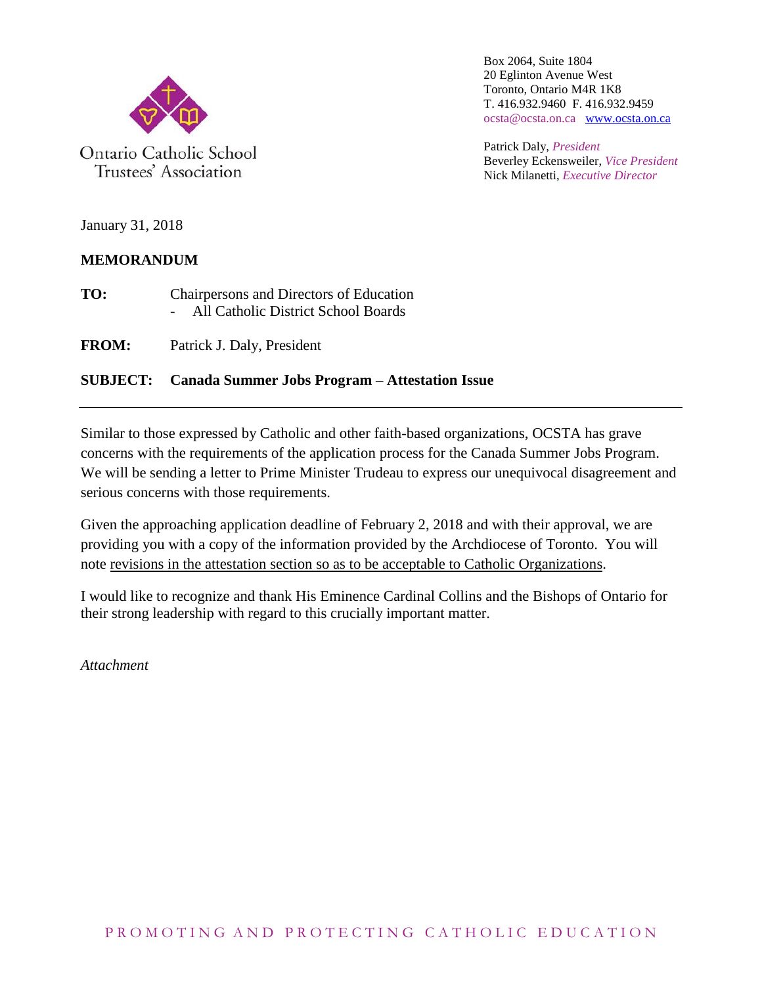

Ontario Catholic School Trustees' Association

Box 2064, Suite 1804 20 Eglinton Avenue West Toronto, Ontario M4R 1K8 T. 416.932.9460 F. 416.932.9459 ocsta@ocsta.on.ca [www.ocsta.on.ca](http://www.ocsta.on.ca/)

Patrick Daly, *President* Beverley Eckensweiler, *Vice President* Nick Milanetti, *Executive Director*

January 31, 2018

#### **MEMORANDUM**

**TO:** Chairpersons and Directors of Education - All Catholic District School Boards

**FROM:** Patrick J. Daly, President

#### **SUBJECT: Canada Summer Jobs Program – Attestation Issue**

Similar to those expressed by Catholic and other faith-based organizations, OCSTA has grave concerns with the requirements of the application process for the Canada Summer Jobs Program. We will be sending a letter to Prime Minister Trudeau to express our unequivocal disagreement and serious concerns with those requirements.

Given the approaching application deadline of February 2, 2018 and with their approval, we are providing you with a copy of the information provided by the Archdiocese of Toronto. You will note revisions in the attestation section so as to be acceptable to Catholic Organizations.

I would like to recognize and thank His Eminence Cardinal Collins and the Bishops of Ontario for their strong leadership with regard to this crucially important matter.

*Attachment*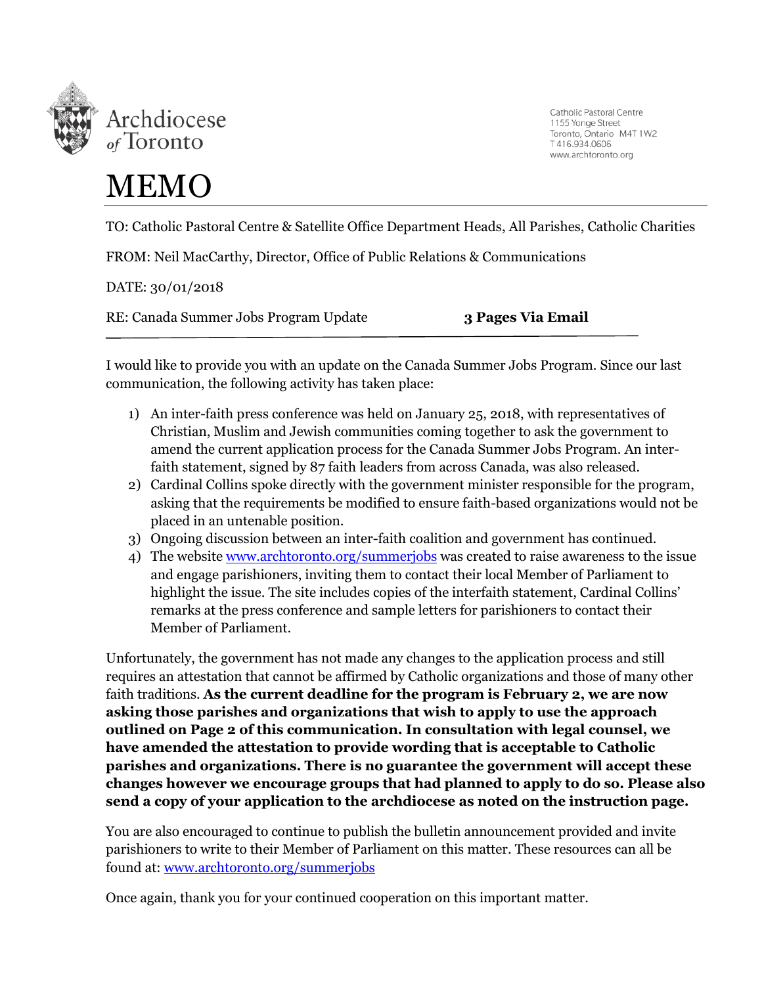

Catholic Pastoral Centre 1155 Yonge Street Toronto, Ontario M4T 1W2 T416.934.0606 www.archtoronto.org

## MEMO

TO: Catholic Pastoral Centre & Satellite Office Department Heads, All Parishes, Catholic Charities

FROM: Neil MacCarthy, Director, Office of Public Relations & Communications

DATE: 30/01/2018

RE: Canada Summer Jobs Program Update **3 Pages Via Email**

I would like to provide you with an update on the Canada Summer Jobs Program. Since our last communication, the following activity has taken place:

- 1) An inter-faith press conference was held on January 25, 2018, with representatives of Christian, Muslim and Jewish communities coming together to ask the government to amend the current application process for the Canada Summer Jobs Program. An interfaith statement, signed by 87 faith leaders from across Canada, was also released.
- 2) Cardinal Collins spoke directly with the government minister responsible for the program, asking that the requirements be modified to ensure faith-based organizations would not be placed in an untenable position.
- 3) Ongoing discussion between an inter-faith coalition and government has continued.
- 4) The websit[e www.archtoronto.org/summerjobs](http://www.archtoronto.org/summerjobs) was created to raise awareness to the issue and engage parishioners, inviting them to contact their local Member of Parliament to highlight the issue. The site includes copies of the interfaith statement, Cardinal Collins' remarks at the press conference and sample letters for parishioners to contact their Member of Parliament.

Unfortunately, the government has not made any changes to the application process and still requires an attestation that cannot be affirmed by Catholic organizations and those of many other faith traditions. **As the current deadline for the program is February 2, we are now asking those parishes and organizations that wish to apply to use the approach outlined on Page 2 of this communication. In consultation with legal counsel, we have amended the attestation to provide wording that is acceptable to Catholic parishes and organizations. There is no guarantee the government will accept these changes however we encourage groups that had planned to apply to do so. Please also send a copy of your application to the archdiocese as noted on the instruction page.** 

You are also encouraged to continue to publish the bulletin announcement provided and invite parishioners to write to their Member of Parliament on this matter. These resources can all be found at: [www.archtoronto.org/summerjobs](http://www.archtoronto.org/summerjobs)

Once again, thank you for your continued cooperation on this important matter.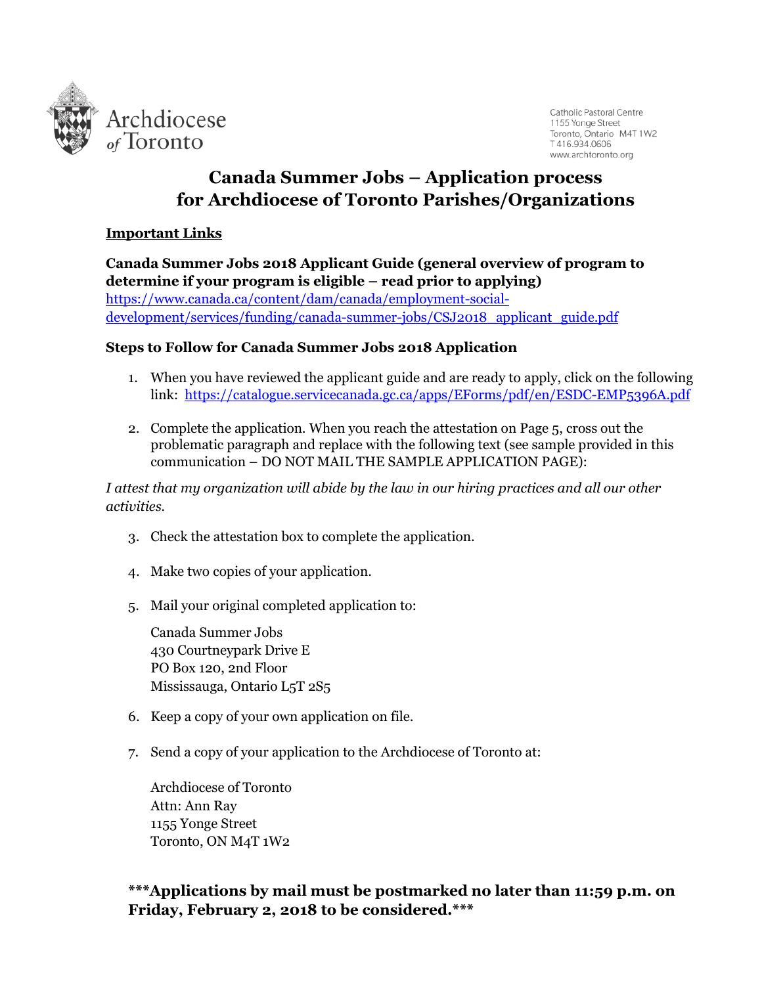

Catholic Pastoral Centre 1155 Yonge Street Toronto, Ontario M4T 1W2 T416.934.0606 www.archtoronto.org

### **Canada Summer Jobs – Application process for Archdiocese of Toronto Parishes/Organizations**

#### **Important Links**

**Canada Summer Jobs 2018 Applicant Guide (general overview of program to determine if your program is eligible – read prior to applying)** [https://www.canada.ca/content/dam/canada/employment-social](https://www.canada.ca/content/dam/canada/employment-social-development/services/funding/canada-summer-jobs/CSJ2018_applicant_guide.pdf)[development/services/funding/canada-summer-jobs/CSJ2018\\_applicant\\_guide.pdf](https://www.canada.ca/content/dam/canada/employment-social-development/services/funding/canada-summer-jobs/CSJ2018_applicant_guide.pdf)

#### **Steps to Follow for Canada Summer Jobs 2018 Application**

- 1. When you have reviewed the applicant guide and are ready to apply, click on the following link: <https://catalogue.servicecanada.gc.ca/apps/EForms/pdf/en/ESDC-EMP5396A.pdf>
- 2. Complete the application. When you reach the attestation on Page 5, cross out the problematic paragraph and replace with the following text (see sample provided in this communication – DO NOT MAIL THE SAMPLE APPLICATION PAGE):

*I attest that my organization will abide by the law in our hiring practices and all our other activities.*

- 3. Check the attestation box to complete the application.
- 4. Make two copies of your application.
- 5. Mail your original completed application to:

Canada Summer Jobs 430 Courtneypark Drive E PO Box 120, 2nd Floor Mississauga, Ontario L5T 2S5

- 6. Keep a copy of your own application on file.
- 7. Send a copy of your application to the Archdiocese of Toronto at:

Archdiocese of Toronto Attn: Ann Ray 1155 Yonge Street Toronto, ON M4T 1W2

**\*\*\*Applications by mail must be postmarked no later than 11:59 p.m. on Friday, February 2, 2018 to be considered.\*\*\***